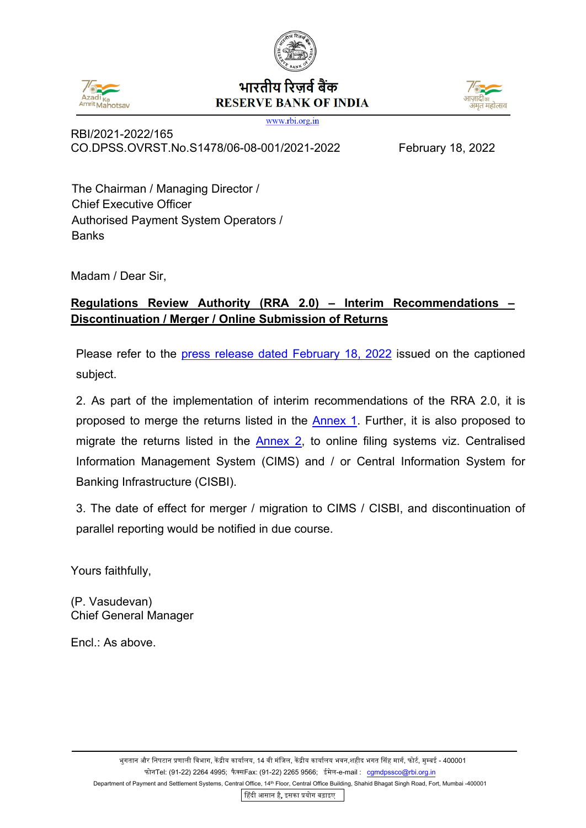

## भारतीय रिजर्व बैंक **RESERVE BANK OF INDIA**



www.rbi.org.in

RBI/2021-2022/165 CO.DPSS.OVRST.No.S1478/06-08-001/2021-2022 February 18, 2022

The Chairman / Managing Director / Chief Executive Officer Authorised Payment System Operators / **Banks** 

Madam / Dear Sir,

## **Regulations Review Authority (RRA 2.0) – Interim Recommendations – Discontinuation / Merger / Online Submission of Returns**

Please refer to the [press release dated February 18, 2022](https://www.rbi.org.in/Scripts/BS_PressReleaseDisplay.aspx?prid=53293) issued on the captioned subject.

2. As part of the implementation of interim recommendations of the RRA 2.0, it is proposed to merge the returns listed in the [Annex 1.](#page-1-0) Further, it is also proposed to migrate the returns listed in the [Annex 2,](#page-2-0) to online filing systems viz. Centralised Information Management System (CIMS) and / or Central Information System for Banking Infrastructure (CISBI).

3. The date of effect for merger / migration to CIMS / CISBI, and discontinuation of parallel reporting would be notified in due course.

Yours faithfully,

(P. Vasudevan) Chief General Manager

Encl.: As above.

�हंदी आसान है, इसका �योग बढ़ाइए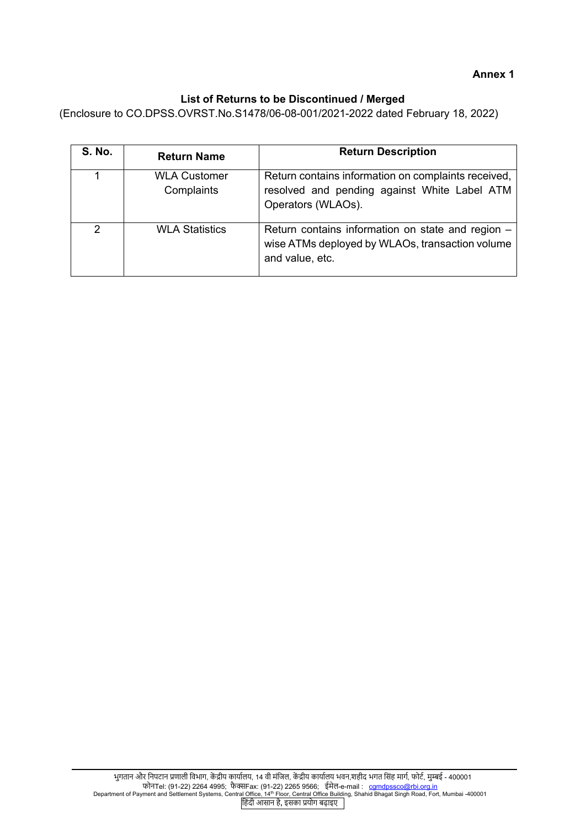## **List of Returns to be Discontinued / Merged**

<span id="page-1-0"></span>(Enclosure to CO.DPSS.OVRST.No.S1478/06-08-001/2021-2022 dated February 18, 2022)

| <b>S. No.</b>  | <b>Return Name</b>                | <b>Return Description</b>                                                                                                 |
|----------------|-----------------------------------|---------------------------------------------------------------------------------------------------------------------------|
|                | <b>WLA Customer</b><br>Complaints | Return contains information on complaints received,<br>resolved and pending against White Label ATM<br>Operators (WLAOs). |
| $\overline{2}$ | <b>WLA Statistics</b>             | Return contains information on state and region -<br>wise ATMs deployed by WLAOs, transaction volume<br>and value, etc.   |